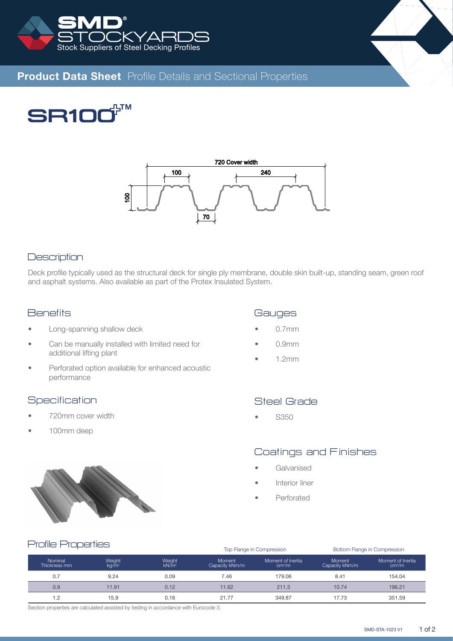



# **Product Data Sheet** Profile Details and Sectional Properties

**TM SR10** 



#### **Description**

Deck profile typically used as the structural deck for single ply membrane, double skin built-up, standing seam, green roof and asphalt systems. Also available as part of the Protex Insulated System.

### **Benefits**

- Long-spanning shallow deck
- Can be manually installed with limited need for additional lifting plant
- Perforated option available for enhanced acoustic performance

#### **Specification**

- 720mm cover width
- 100mm deep



## **Gauges**

- 0.7mm
- 0.9mm
- 1.2mm

# Steel Grade

• S350

# Coatings and Finishes

Top Flange in Compression Bottom Flange in Compression

- **Galvanised**
- Interior liner
- Perforated

#### Profile Properties

|                         |                    |                             |                                 | TOD Flange in Compression               | <b>DOITOITI FRINGE IN CONDITIONS</b> |                                         |  |  |  |
|-------------------------|--------------------|-----------------------------|---------------------------------|-----------------------------------------|--------------------------------------|-----------------------------------------|--|--|--|
| Nominal<br>Thickness mm | Weight<br>$kq/m^2$ | Weight<br>kN/m <sup>2</sup> | <b>Moment</b><br>Capacity kNm/m | Moment of Inertia<br>cm <sup>4</sup> /m | Moment<br>Capacity kNm/m             | Moment of Inertia<br>cm <sup>4</sup> /m |  |  |  |
| 0.7                     | 9.24               | 0.09                        | 7.46                            | 179.06                                  | 8.41                                 | 154.04                                  |  |  |  |
| 0.9                     | 11.91              | 0.12                        | 11.62                           | 211.3                                   | 10.74                                | 196.21                                  |  |  |  |
| 1.2                     | 15.9               | 0.16                        | 21.77                           | 349.87                                  | 17.73                                | 351.59                                  |  |  |  |

Section properties are calculated assisted by testing in accordance with Eurocode 3.